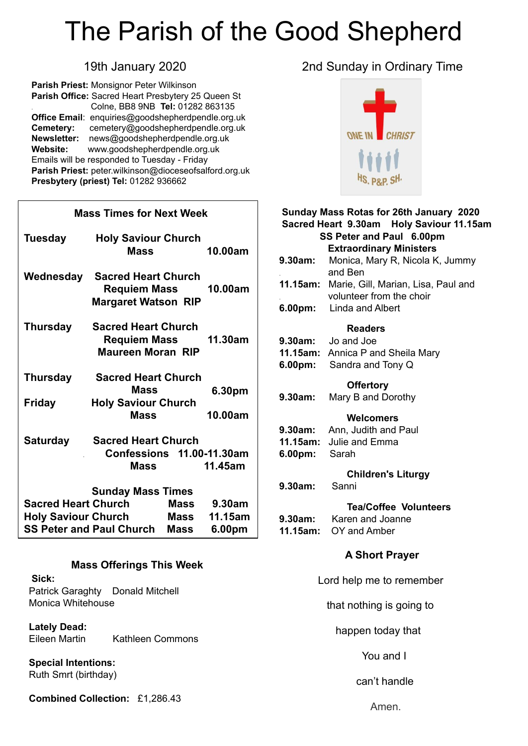# The Parish of the Good Shepherd

**Parish Priest:** Monsignor Peter Wilkinson **Parish Office:** Sacred Heart Presbytery 25 Queen St . Colne, BB8 9NB **Tel:** 01282 863135 **Office Email**: [enquiries@goodshepherdpendle.org.uk](mailto:enquiries@goodshepherdpendle.org.uk) **Cemetery:** cemetery@goodshepherdpendle.org.uk **Newsletter:** news@goodshepherdpendle.org.uk **Website:** www.goodshepherdpendle.org.uk Emails will be responded to Tuesday - Friday **Parish Priest:** [peter.wilkinson@dioceseofsalford.org.uk](mailto:Emailpeter.wilkinson@dioceseofsalford.org.uk) **Presbytery (priest) Tel:** 01282 936662

### **Mass Times for Next Week Tuesday Holy Saviour Church Mass 10.00am Wednesday Sacred Heart Church Requiem Mass 10.00am Margaret Watson RIP Thursday Sacred Heart Church Requiem Mass 11.30am Maureen Moran RIP Thursday Friday Holy Saviour Church Mass 10.00am Saturday Sacred Heart Church** . **Confessions 11.00-11.30am Mass 11.45am Sunday Mass Times Sacred Heart Church Mass 9.30am Holy Saviour Church Mass 11.15am SS Peter and Paul Church Mass 6.00pm 6.30pm Sacred Heart Church Mass**

#### **Mass Offerings This Week**

 **Sick:** Patrick Garaghty Donald Mitchell Monica Whitehouse

**Lately Dead:** 

Eileen Martin Kathleen Commons

**Special Intentions:** Ruth Smrt (birthday)

**Combined Collection:** £1,286.43

### 19th January 2020 2nd Sunday in Ordinary Time



| Sunday Mass Rotas for 26th January 2020                              |                                              |
|----------------------------------------------------------------------|----------------------------------------------|
| Sacred Heart 9.30am Holy Saviour 11.15am<br>SS Peter and Paul 6.00pm |                                              |
| <b>Extraordinary Ministers</b>                                       |                                              |
| 9.30am:                                                              | Monica, Mary R, Nicola K, Jummy              |
|                                                                      | and Ben                                      |
|                                                                      | 11.15am: Marie, Gill, Marian, Lisa, Paul and |
|                                                                      | volunteer from the choir                     |
|                                                                      | 6.00pm: Linda and Albert                     |
| <b>Readers</b>                                                       |                                              |
|                                                                      | <b>9.30am:</b> Jo and Joe                    |
|                                                                      | 11.15am: Annica P and Sheila Mary            |
|                                                                      | <b>6.00pm:</b> Sandra and Tony Q             |
| <b>Offertory</b>                                                     |                                              |
| 9.30am:                                                              | Mary B and Dorothy                           |
| <b>Welcomers</b>                                                     |                                              |
|                                                                      | 9.30am: Ann, Judith and Paul                 |
|                                                                      | 11.15am: Julie and Emma                      |
| 6.00pm: Sarah                                                        |                                              |
| <b>Children's Liturgy</b>                                            |                                              |
| 9.30am:                                                              | Sanni                                        |
| <b>Tea/Coffee Volunteers</b>                                         |                                              |
|                                                                      | 9.30am: Karen and Joanne                     |
| 11.15am:                                                             | OY and Amber                                 |
| <b>A Short Prayer</b>                                                |                                              |
| Lord help me to remember                                             |                                              |

that nothing is going to

happen today that

You and I

can't handle